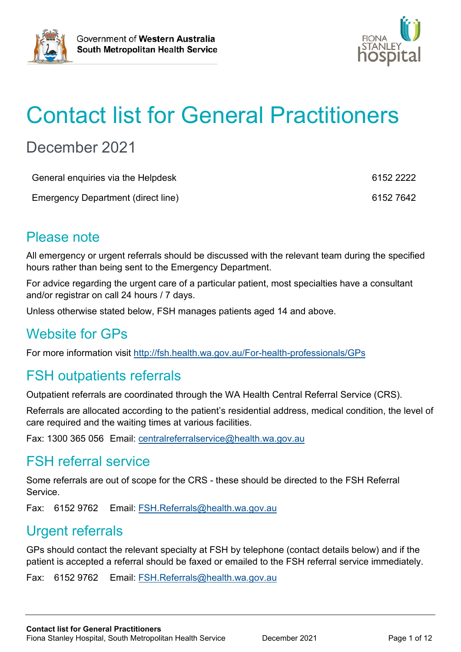



# Contact list for General Practitioners

## December 2021

| General enquiries via the Helpdesk | 6152 2222 |
|------------------------------------|-----------|
| Emergency Department (direct line) | 6152 7642 |

#### Please note

All emergency or urgent referrals should be discussed with the relevant team during the specified hours rather than being sent to the Emergency Department.

For advice regarding the urgent care of a particular patient, most specialties have a consultant and/or registrar on call 24 hours / 7 days.

Unless otherwise stated below, FSH manages patients aged 14 and above.

#### Website for GPs

For more information visit<http://fsh.health.wa.gov.au/For-health-professionals/GPs>

### FSH outpatients referrals

Outpatient referrals are coordinated through the WA Health Central Referral Service (CRS).

Referrals are allocated according to the patient's residential address, medical condition, the level of care required and the waiting times at various facilities.

Fax: 1300 365 056 Email: [centralreferralservice@health.wa.gov.au](mailto:centralreferralservice@health.wa.gov.au)

#### FSH referral service

Some referrals are out of scope for the CRS - these should be directed to the FSH Referral Service.

Fax: 6152 9762 Email: [FSH.Referrals@health.wa.gov.au](mailto:FSH.Referrals@health.wa.gov.au)

#### Urgent referrals

GPs should contact the relevant specialty at FSH by telephone (contact details below) and if the patient is accepted a referral should be faxed or emailed to the FSH referral service immediately.

Fax: 6152 9762 Email: [FSH.Referrals@health.wa.gov.au](mailto:FSH.Referrals@health.wa.gov.au)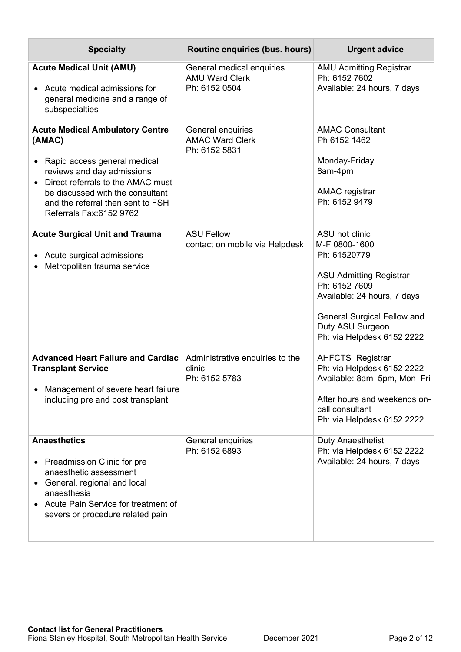| <b>Specialty</b>                                                                                                                                                                                                                                           | Routine enquiries (bus. hours)                                      | <b>Urgent advice</b>                                                                                                                                                                                                      |
|------------------------------------------------------------------------------------------------------------------------------------------------------------------------------------------------------------------------------------------------------------|---------------------------------------------------------------------|---------------------------------------------------------------------------------------------------------------------------------------------------------------------------------------------------------------------------|
| <b>Acute Medical Unit (AMU)</b><br>• Acute medical admissions for<br>general medicine and a range of<br>subspecialties                                                                                                                                     | General medical enquiries<br><b>AMU Ward Clerk</b><br>Ph: 6152 0504 | <b>AMU Admitting Registrar</b><br>Ph: 6152 7602<br>Available: 24 hours, 7 days                                                                                                                                            |
| <b>Acute Medical Ambulatory Centre</b><br>(AMAC)<br>• Rapid access general medical<br>reviews and day admissions<br>Direct referrals to the AMAC must<br>be discussed with the consultant<br>and the referral then sent to FSH<br>Referrals Fax: 6152 9762 | General enquiries<br><b>AMAC Ward Clerk</b><br>Ph: 6152 5831        | <b>AMAC Consultant</b><br>Ph 6152 1462<br>Monday-Friday<br>8am-4pm<br><b>AMAC</b> registrar<br>Ph: 6152 9479                                                                                                              |
| <b>Acute Surgical Unit and Trauma</b><br>Acute surgical admissions<br>Metropolitan trauma service                                                                                                                                                          | <b>ASU Fellow</b><br>contact on mobile via Helpdesk                 | ASU hot clinic<br>M-F 0800-1600<br>Ph: 61520779<br><b>ASU Admitting Registrar</b><br>Ph: 6152 7609<br>Available: 24 hours, 7 days<br><b>General Surgical Fellow and</b><br>Duty ASU Surgeon<br>Ph: via Helpdesk 6152 2222 |
| <b>Advanced Heart Failure and Cardiac</b><br><b>Transplant Service</b><br>Management of severe heart failure<br>including pre and post transplant                                                                                                          | Administrative enquiries to the<br>clinic<br>Ph: 6152 5783          | <b>AHFCTS Registrar</b><br>Ph: via Helpdesk 6152 2222<br>Available: 8am-5pm, Mon-Fri<br>After hours and weekends on-<br>call consultant<br>Ph: via Helpdesk 6152 2222                                                     |
| <b>Anaesthetics</b><br>• Preadmission Clinic for pre<br>anaesthetic assessment<br>General, regional and local<br>$\bullet$<br>anaesthesia<br>Acute Pain Service for treatment of<br>severs or procedure related pain                                       | General enquiries<br>Ph: 6152 6893                                  | <b>Duty Anaesthetist</b><br>Ph: via Helpdesk 6152 2222<br>Available: 24 hours, 7 days                                                                                                                                     |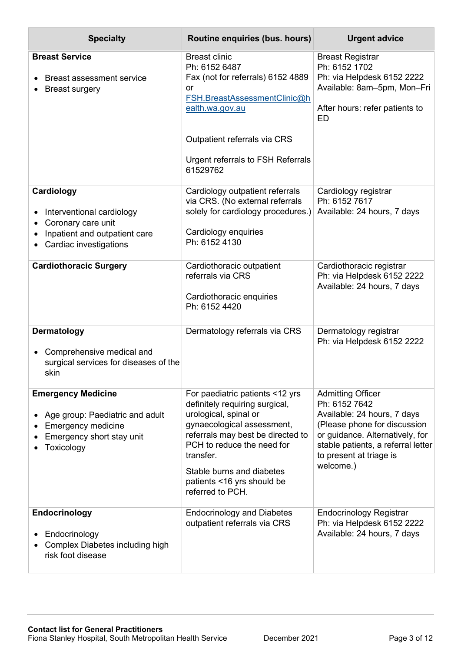| <b>Specialty</b>                                                                                                                     | Routine enquiries (bus. hours)                                                                                                                                                                                                                                                          | <b>Urgent advice</b>                                                                                                                                                                                                      |
|--------------------------------------------------------------------------------------------------------------------------------------|-----------------------------------------------------------------------------------------------------------------------------------------------------------------------------------------------------------------------------------------------------------------------------------------|---------------------------------------------------------------------------------------------------------------------------------------------------------------------------------------------------------------------------|
| <b>Breast Service</b><br><b>Breast assessment service</b><br><b>Breast surgery</b>                                                   | <b>Breast clinic</b><br>Ph: 6152 6487<br>Fax (not for referrals) 6152 4889<br>or<br>FSH.BreastAssessmentClinic@h<br>ealth.wa.gov.au<br>Outpatient referrals via CRS<br>Urgent referrals to FSH Referrals<br>61529762                                                                    | <b>Breast Registrar</b><br>Ph: 6152 1702<br>Ph: via Helpdesk 6152 2222<br>Available: 8am-5pm, Mon-Fri<br>After hours: refer patients to<br><b>ED</b>                                                                      |
| Cardiology<br>Interventional cardiology<br>Coronary care unit<br>Inpatient and outpatient care<br>Cardiac investigations             | Cardiology outpatient referrals<br>via CRS. (No external referrals<br>solely for cardiology procedures.)<br>Cardiology enquiries<br>Ph: 6152 4130                                                                                                                                       | Cardiology registrar<br>Ph: 6152 7617<br>Available: 24 hours, 7 days                                                                                                                                                      |
| <b>Cardiothoracic Surgery</b>                                                                                                        | Cardiothoracic outpatient<br>referrals via CRS<br>Cardiothoracic enquiries<br>Ph: 6152 4420                                                                                                                                                                                             | Cardiothoracic registrar<br>Ph: via Helpdesk 6152 2222<br>Available: 24 hours, 7 days                                                                                                                                     |
| Dermatology<br>Comprehensive medical and<br>$\bullet$<br>surgical services for diseases of the<br>skin                               | Dermatology referrals via CRS                                                                                                                                                                                                                                                           | Dermatology registrar<br>Ph: via Helpdesk 6152 2222                                                                                                                                                                       |
| <b>Emergency Medicine</b><br>Age group: Paediatric and adult<br><b>Emergency medicine</b><br>Emergency short stay unit<br>Toxicology | For paediatric patients <12 yrs<br>definitely requiring surgical,<br>urological, spinal or<br>gynaecological assessment,<br>referrals may best be directed to<br>PCH to reduce the need for<br>transfer.<br>Stable burns and diabetes<br>patients <16 yrs should be<br>referred to PCH. | <b>Admitting Officer</b><br>Ph: 6152 7642<br>Available: 24 hours, 7 days<br>(Please phone for discussion<br>or guidance. Alternatively, for<br>stable patients, a referral letter<br>to present at triage is<br>welcome.) |
| <b>Endocrinology</b><br>Endocrinology<br>Complex Diabetes including high<br>risk foot disease                                        | <b>Endocrinology and Diabetes</b><br>outpatient referrals via CRS                                                                                                                                                                                                                       | <b>Endocrinology Registrar</b><br>Ph: via Helpdesk 6152 2222<br>Available: 24 hours, 7 days                                                                                                                               |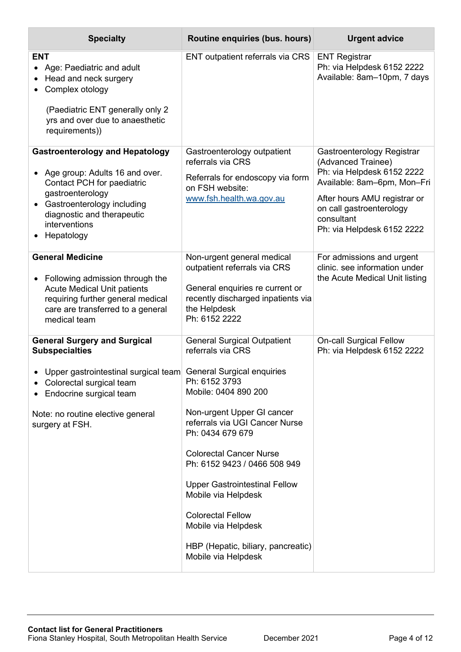| <b>Specialty</b>                                                                                                                                                                                                      | Routine enquiries (bus. hours)                                                                                                                                                                                                                                                                                                    | <b>Urgent advice</b>                                                                                                                                                                                                  |
|-----------------------------------------------------------------------------------------------------------------------------------------------------------------------------------------------------------------------|-----------------------------------------------------------------------------------------------------------------------------------------------------------------------------------------------------------------------------------------------------------------------------------------------------------------------------------|-----------------------------------------------------------------------------------------------------------------------------------------------------------------------------------------------------------------------|
| <b>ENT</b><br>Age: Paediatric and adult<br>Head and neck surgery<br>Complex otology<br>(Paediatric ENT generally only 2<br>yrs and over due to anaesthetic<br>requirements))                                          | ENT outpatient referrals via CRS                                                                                                                                                                                                                                                                                                  | <b>ENT Registrar</b><br>Ph: via Helpdesk 6152 2222<br>Available: 8am-10pm, 7 days                                                                                                                                     |
| <b>Gastroenterology and Hepatology</b><br>Age group: Adults 16 and over.<br>Contact PCH for paediatric<br>gastroenterology<br>Gastroenterology including<br>diagnostic and therapeutic<br>interventions<br>Hepatology | Gastroenterology outpatient<br>referrals via CRS<br>Referrals for endoscopy via form<br>on FSH website:<br>www.fsh.health.wa.gov.au                                                                                                                                                                                               | Gastroenterology Registrar<br>(Advanced Trainee)<br>Ph: via Helpdesk 6152 2222<br>Available: 8am-6pm, Mon-Fri<br>After hours AMU registrar or<br>on call gastroenterology<br>consultant<br>Ph: via Helpdesk 6152 2222 |
| <b>General Medicine</b><br>Following admission through the<br><b>Acute Medical Unit patients</b><br>requiring further general medical<br>care are transferred to a general<br>medical team                            | Non-urgent general medical<br>outpatient referrals via CRS<br>General enquiries re current or<br>recently discharged inpatients via<br>the Helpdesk<br>Ph: 6152 2222                                                                                                                                                              | For admissions and urgent<br>clinic, see information under<br>the Acute Medical Unit listing                                                                                                                          |
| <b>General Surgery and Surgical</b><br><b>Subspecialties</b><br>Upper gastrointestinal surgical team General Surgical enquiries<br>Colorectal surgical team<br>Endocrine surgical team                                | <b>General Surgical Outpatient</b><br>referrals via CRS<br>Ph: 6152 3793<br>Mobile: 0404 890 200                                                                                                                                                                                                                                  | <b>On-call Surgical Fellow</b><br>Ph: via Helpdesk 6152 2222                                                                                                                                                          |
| Note: no routine elective general<br>surgery at FSH.                                                                                                                                                                  | Non-urgent Upper GI cancer<br>referrals via UGI Cancer Nurse<br>Ph: 0434 679 679<br><b>Colorectal Cancer Nurse</b><br>Ph: 6152 9423 / 0466 508 949<br><b>Upper Gastrointestinal Fellow</b><br>Mobile via Helpdesk<br><b>Colorectal Fellow</b><br>Mobile via Helpdesk<br>HBP (Hepatic, biliary, pancreatic)<br>Mobile via Helpdesk |                                                                                                                                                                                                                       |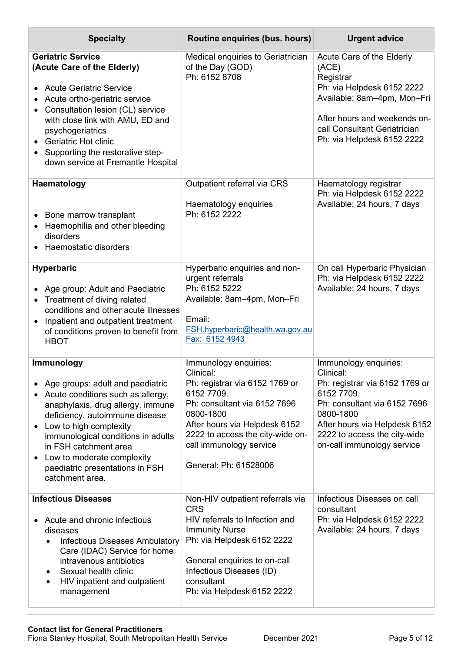| <b>Specialty</b>                                                                                                                                                                                                                                                                                                                                       | Routine enquiries (bus. hours)                                                                                                                                                                                                                           | <b>Urgent advice</b>                                                                                                                                                                                                           |
|--------------------------------------------------------------------------------------------------------------------------------------------------------------------------------------------------------------------------------------------------------------------------------------------------------------------------------------------------------|----------------------------------------------------------------------------------------------------------------------------------------------------------------------------------------------------------------------------------------------------------|--------------------------------------------------------------------------------------------------------------------------------------------------------------------------------------------------------------------------------|
| <b>Geriatric Service</b><br>(Acute Care of the Elderly)<br><b>Acute Geriatric Service</b><br>Acute ortho-geriatric service<br>Consultation lesion (CL) service<br>with close link with AMU, ED and<br>psychogeriatrics<br>• Geriatric Hot clinic<br>• Supporting the restorative step-<br>down service at Fremantle Hospital                           | Medical enquiries to Geriatrician<br>of the Day (GOD)<br>Ph: 6152 8708                                                                                                                                                                                   | Acute Care of the Elderly<br>(ACE)<br>Registrar<br>Ph: via Helpdesk 6152 2222<br>Available: 8am-4pm, Mon-Fri<br>After hours and weekends on-<br>call Consultant Geriatrician<br>Ph: via Helpdesk 6152 2222                     |
| Haematology<br>Bone marrow transplant<br>Haemophilia and other bleeding<br>disorders<br>Haemostatic disorders                                                                                                                                                                                                                                          | Outpatient referral via CRS<br>Haematology enquiries<br>Ph: 6152 2222                                                                                                                                                                                    | Haematology registrar<br>Ph: via Helpdesk 6152 2222<br>Available: 24 hours, 7 days                                                                                                                                             |
| <b>Hyperbaric</b><br>Age group: Adult and Paediatric<br>Treatment of diving related<br>conditions and other acute illnesses<br>Inpatient and outpatient treatment<br>of conditions proven to benefit from<br><b>HBOT</b>                                                                                                                               | Hyperbaric enquiries and non-<br>urgent referrals<br>Ph: 6152 5222<br>Available: 8am-4pm, Mon-Fri<br>Email:<br>FSH.hyperbaric@health.wa.gov.au<br>Fax: 6152 4943                                                                                         | On call Hyperbaric Physician<br>Ph: via Helpdesk 6152 2222<br>Available: 24 hours, 7 days                                                                                                                                      |
| Immunology<br>Age groups: adult and paediatric<br>Acute conditions such as allergy,<br>anaphylaxis, drug allergy, immune<br>deficiency, autoimmune disease<br>• Low to high complexity<br>immunological conditions in adults<br>in FSH catchment area<br>Low to moderate complexity<br>$\bullet$<br>paediatric presentations in FSH<br>catchment area. | Immunology enquiries:<br>Clinical:<br>Ph: registrar via 6152 1769 or<br>6152 7709.<br>Ph: consultant via 6152 7696<br>0800-1800<br>After hours via Helpdesk 6152<br>2222 to access the city-wide on-<br>call immunology service<br>General: Ph: 61528006 | Immunology enquiries:<br>Clinical:<br>Ph: registrar via 6152 1769 or<br>6152 7709.<br>Ph: consultant via 6152 7696<br>0800-1800<br>After hours via Helpdesk 6152<br>2222 to access the city-wide<br>on-call immunology service |
| <b>Infectious Diseases</b><br>Acute and chronic infectious<br>diseases<br><b>Infectious Diseases Ambulatory</b><br>$\bullet$<br>Care (IDAC) Service for home<br>intravenous antibiotics<br>Sexual health clinic<br>٠<br>HIV inpatient and outpatient<br>٠<br>management                                                                                | Non-HIV outpatient referrals via<br><b>CRS</b><br>HIV referrals to Infection and<br><b>Immunity Nurse</b><br>Ph: via Helpdesk 6152 2222<br>General enquiries to on-call<br>Infectious Diseases (ID)<br>consultant<br>Ph: via Helpdesk 6152 2222          | Infectious Diseases on call<br>consultant<br>Ph: via Helpdesk 6152 2222<br>Available: 24 hours, 7 days                                                                                                                         |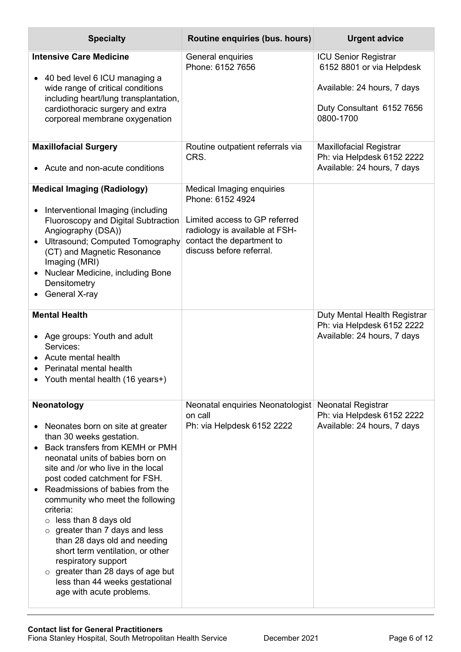| <b>Specialty</b>                                                                                                                                                                                                                                                                                                                                                                                                                                                                                                                                                                                | Routine enquiries (bus. hours)                                                                                                                                            | <b>Urgent advice</b>                                                                                                              |
|-------------------------------------------------------------------------------------------------------------------------------------------------------------------------------------------------------------------------------------------------------------------------------------------------------------------------------------------------------------------------------------------------------------------------------------------------------------------------------------------------------------------------------------------------------------------------------------------------|---------------------------------------------------------------------------------------------------------------------------------------------------------------------------|-----------------------------------------------------------------------------------------------------------------------------------|
| <b>Intensive Care Medicine</b><br>40 bed level 6 ICU managing a<br>wide range of critical conditions<br>including heart/lung transplantation,<br>cardiothoracic surgery and extra<br>corporeal membrane oxygenation                                                                                                                                                                                                                                                                                                                                                                             | General enquiries<br>Phone: 6152 7656                                                                                                                                     | <b>ICU Senior Registrar</b><br>6152 8801 or via Helpdesk<br>Available: 24 hours, 7 days<br>Duty Consultant 6152 7656<br>0800-1700 |
| <b>Maxillofacial Surgery</b><br>• Acute and non-acute conditions                                                                                                                                                                                                                                                                                                                                                                                                                                                                                                                                | Routine outpatient referrals via<br>CRS.                                                                                                                                  | <b>Maxillofacial Registrar</b><br>Ph: via Helpdesk 6152 2222<br>Available: 24 hours, 7 days                                       |
| <b>Medical Imaging (Radiology)</b><br>Interventional Imaging (including<br><b>Fluoroscopy and Digital Subtraction</b><br>Angiography (DSA))<br>Ultrasound; Computed Tomography<br>(CT) and Magnetic Resonance<br>Imaging (MRI)<br>Nuclear Medicine, including Bone<br>Densitometry<br>General X-ray                                                                                                                                                                                                                                                                                             | Medical Imaging enquiries<br>Phone: 6152 4924<br>Limited access to GP referred<br>radiology is available at FSH-<br>contact the department to<br>discuss before referral. |                                                                                                                                   |
| <b>Mental Health</b><br>Age groups: Youth and adult<br>Services:<br>Acute mental health<br>Perinatal mental health<br>• Youth mental health (16 years+)                                                                                                                                                                                                                                                                                                                                                                                                                                         |                                                                                                                                                                           | Duty Mental Health Registrar<br>Ph: via Helpdesk 6152 2222<br>Available: 24 hours, 7 days                                         |
| Neonatology<br>Neonates born on site at greater<br>than 30 weeks gestation.<br>Back transfers from KEMH or PMH<br>neonatal units of babies born on<br>site and /or who live in the local<br>post coded catchment for FSH.<br>Readmissions of babies from the<br>community who meet the following<br>criteria:<br>less than 8 days old<br>$\circ$<br>greater than 7 days and less<br>$\circ$<br>than 28 days old and needing<br>short term ventilation, or other<br>respiratory support<br>$\circ$ greater than 28 days of age but<br>less than 44 weeks gestational<br>age with acute problems. | Neonatal enquiries Neonatologist<br>on call<br>Ph: via Helpdesk 6152 2222                                                                                                 | <b>Neonatal Registrar</b><br>Ph: via Helpdesk 6152 2222<br>Available: 24 hours, 7 days                                            |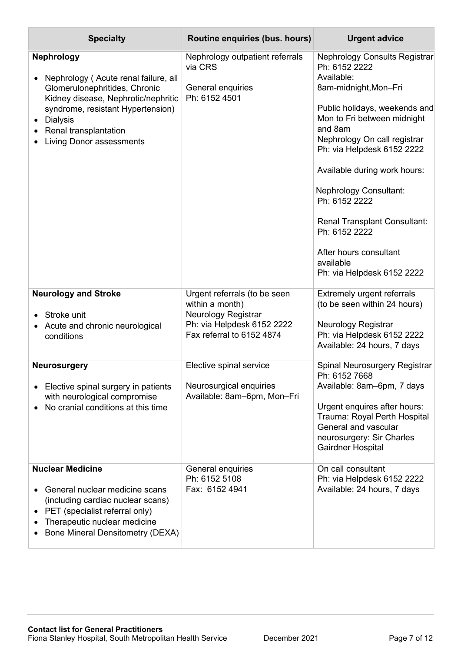| <b>Specialty</b>                                                                                                                                                                                                                                      | Routine enquiries (bus. hours)                                                                                                           | <b>Urgent advice</b>                                                                                                                                                                                                                                                                                                                                                                                                                                 |
|-------------------------------------------------------------------------------------------------------------------------------------------------------------------------------------------------------------------------------------------------------|------------------------------------------------------------------------------------------------------------------------------------------|------------------------------------------------------------------------------------------------------------------------------------------------------------------------------------------------------------------------------------------------------------------------------------------------------------------------------------------------------------------------------------------------------------------------------------------------------|
| <b>Nephrology</b><br>Nephrology (Acute renal failure, all<br>Glomerulonephritides, Chronic<br>Kidney disease, Nephrotic/nephritic<br>syndrome, resistant Hypertension)<br><b>Dialysis</b><br>Renal transplantation<br><b>Living Donor assessments</b> | Nephrology outpatient referrals<br>via CRS<br>General enquiries<br>Ph: 6152 4501                                                         | <b>Nephrology Consults Registrar</b><br>Ph: 6152 2222<br>Available:<br>8am-midnight, Mon-Fri<br>Public holidays, weekends and<br>Mon to Fri between midnight<br>and 8am<br>Nephrology On call registrar<br>Ph: via Helpdesk 6152 2222<br>Available during work hours:<br><b>Nephrology Consultant:</b><br>Ph: 6152 2222<br><b>Renal Transplant Consultant:</b><br>Ph: 6152 2222<br>After hours consultant<br>available<br>Ph: via Helpdesk 6152 2222 |
| <b>Neurology and Stroke</b><br>Stroke unit<br>Acute and chronic neurological<br>conditions                                                                                                                                                            | Urgent referrals (to be seen<br>within a month)<br><b>Neurology Registrar</b><br>Ph: via Helpdesk 6152 2222<br>Fax referral to 6152 4874 | <b>Extremely urgent referrals</b><br>(to be seen within 24 hours)<br><b>Neurology Registrar</b><br>Ph: via Helpdesk 6152 2222<br>Available: 24 hours, 7 days                                                                                                                                                                                                                                                                                         |
| <b>Neurosurgery</b><br>Elective spinal surgery in patients<br>with neurological compromise<br>No cranial conditions at this time                                                                                                                      | Elective spinal service<br>Neurosurgical enquiries<br>Available: 8am-6pm, Mon-Fri                                                        | Spinal Neurosurgery Registrar<br>Ph: 6152 7668<br>Available: 8am-6pm, 7 days<br>Urgent enquires after hours:<br>Trauma: Royal Perth Hospital<br>General and vascular<br>neurosurgery: Sir Charles<br>Gairdner Hospital                                                                                                                                                                                                                               |
| <b>Nuclear Medicine</b><br>General nuclear medicine scans<br>$\bullet$<br>(including cardiac nuclear scans)<br>PET (specialist referral only)<br>Therapeutic nuclear medicine<br><b>Bone Mineral Densitometry (DEXA)</b>                              | General enquiries<br>Ph: 6152 5108<br>Fax: 6152 4941                                                                                     | On call consultant<br>Ph: via Helpdesk 6152 2222<br>Available: 24 hours, 7 days                                                                                                                                                                                                                                                                                                                                                                      |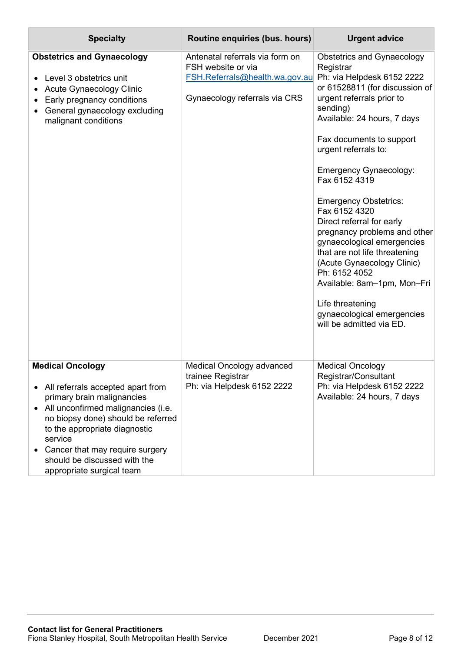| <b>Specialty</b>                                                                                                                                                                                                                                                                                                     | Routine enquiries (bus. hours)                                                                                                                      | <b>Urgent advice</b>                                                                                                                                                                                                                                                                                                                                                                                                                                                                                                                                                                                    |
|----------------------------------------------------------------------------------------------------------------------------------------------------------------------------------------------------------------------------------------------------------------------------------------------------------------------|-----------------------------------------------------------------------------------------------------------------------------------------------------|---------------------------------------------------------------------------------------------------------------------------------------------------------------------------------------------------------------------------------------------------------------------------------------------------------------------------------------------------------------------------------------------------------------------------------------------------------------------------------------------------------------------------------------------------------------------------------------------------------|
| <b>Obstetrics and Gynaecology</b><br>Level 3 obstetrics unit<br>Acute Gynaecology Clinic<br>Early pregnancy conditions<br>General gynaecology excluding<br>malignant conditions                                                                                                                                      | Antenatal referrals via form on<br>FSH website or via<br>FSH.Referrals@health.wa.gov.au Ph: via Helpdesk 6152 2222<br>Gynaecology referrals via CRS | <b>Obstetrics and Gynaecology</b><br>Registrar<br>or 61528811 (for discussion of<br>urgent referrals prior to<br>sending)<br>Available: 24 hours, 7 days<br>Fax documents to support<br>urgent referrals to:<br><b>Emergency Gynaecology:</b><br>Fax 6152 4319<br><b>Emergency Obstetrics:</b><br>Fax 6152 4320<br>Direct referral for early<br>pregnancy problems and other<br>gynaecological emergencies<br>that are not life threatening<br>(Acute Gynaecology Clinic)<br>Ph: 6152 4052<br>Available: 8am-1pm, Mon-Fri<br>Life threatening<br>gynaecological emergencies<br>will be admitted via ED. |
| <b>Medical Oncology</b><br>• All referrals accepted apart from<br>primary brain malignancies<br>All unconfirmed malignancies (i.e.<br>no biopsy done) should be referred<br>to the appropriate diagnostic<br>service<br>Cancer that may require surgery<br>should be discussed with the<br>appropriate surgical team | <b>Medical Oncology advanced</b><br>trainee Registrar<br>Ph: via Helpdesk 6152 2222                                                                 | <b>Medical Oncology</b><br>Registrar/Consultant<br>Ph: via Helpdesk 6152 2222<br>Available: 24 hours, 7 days                                                                                                                                                                                                                                                                                                                                                                                                                                                                                            |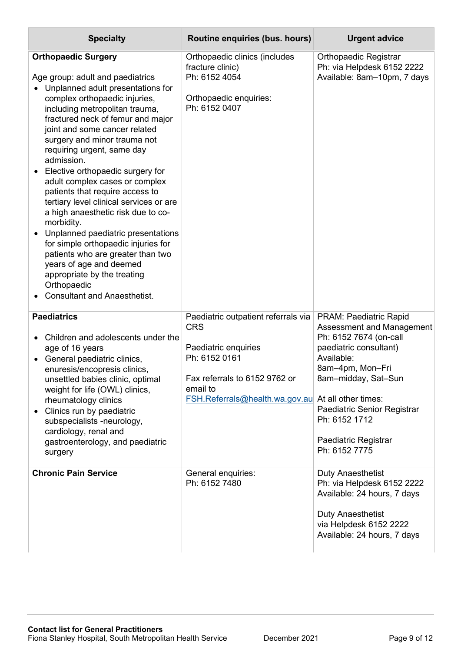| <b>Specialty</b>                                                                                                                                                                                                                                                                                                                                                                                                                                                                                                                                                                                                                                                                                                                                                     | Routine enquiries (bus. hours)                                                                                                                                                                       | <b>Urgent advice</b>                                                                                                                                                                                                                                      |
|----------------------------------------------------------------------------------------------------------------------------------------------------------------------------------------------------------------------------------------------------------------------------------------------------------------------------------------------------------------------------------------------------------------------------------------------------------------------------------------------------------------------------------------------------------------------------------------------------------------------------------------------------------------------------------------------------------------------------------------------------------------------|------------------------------------------------------------------------------------------------------------------------------------------------------------------------------------------------------|-----------------------------------------------------------------------------------------------------------------------------------------------------------------------------------------------------------------------------------------------------------|
| <b>Orthopaedic Surgery</b><br>Age group: adult and paediatrics<br>• Unplanned adult presentations for<br>complex orthopaedic injuries,<br>including metropolitan trauma,<br>fractured neck of femur and major<br>joint and some cancer related<br>surgery and minor trauma not<br>requiring urgent, same day<br>admission.<br>Elective orthopaedic surgery for<br>adult complex cases or complex<br>patients that require access to<br>tertiary level clinical services or are<br>a high anaesthetic risk due to co-<br>morbidity.<br>Unplanned paediatric presentations<br>for simple orthopaedic injuries for<br>patients who are greater than two<br>years of age and deemed<br>appropriate by the treating<br>Orthopaedic<br><b>Consultant and Anaesthetist.</b> | Orthopaedic clinics (includes<br>fracture clinic)<br>Ph: 6152 4054<br>Orthopaedic enquiries:<br>Ph: 6152 0407                                                                                        | <b>Orthopaedic Registrar</b><br>Ph: via Helpdesk 6152 2222<br>Available: 8am-10pm, 7 days                                                                                                                                                                 |
| <b>Paediatrics</b><br>Children and adolescents under the<br>$\bullet$<br>age of 16 years<br>General paediatric clinics,<br>enuresis/encopresis clinics,<br>unsettled babies clinic, optimal<br>weight for life (OWL) clinics,<br>rheumatology clinics<br>Clinics run by paediatric<br>subspecialists -neurology,<br>cardiology, renal and<br>gastroenterology, and paediatric<br>surgery                                                                                                                                                                                                                                                                                                                                                                             | Paediatric outpatient referrals via<br><b>CRS</b><br>Paediatric enquiries<br>Ph: 6152 0161<br>Fax referrals to 6152 9762 or<br>email to<br><b>FSH.Referrals@health.wa.gov.au</b> At all other times: | PRAM: Paediatric Rapid<br>Assessment and Management<br>Ph: 6152 7674 (on-call<br>paediatric consultant)<br>Available:<br>8am-4pm, Mon-Fri<br>8am-midday, Sat-Sun<br>Paediatric Senior Registrar<br>Ph: 6152 1712<br>Paediatric Registrar<br>Ph: 6152 7775 |
| <b>Chronic Pain Service</b>                                                                                                                                                                                                                                                                                                                                                                                                                                                                                                                                                                                                                                                                                                                                          | General enquiries:<br>Ph: 6152 7480                                                                                                                                                                  | <b>Duty Anaesthetist</b><br>Ph: via Helpdesk 6152 2222<br>Available: 24 hours, 7 days<br><b>Duty Anaesthetist</b><br>via Helpdesk 6152 2222<br>Available: 24 hours, 7 days                                                                                |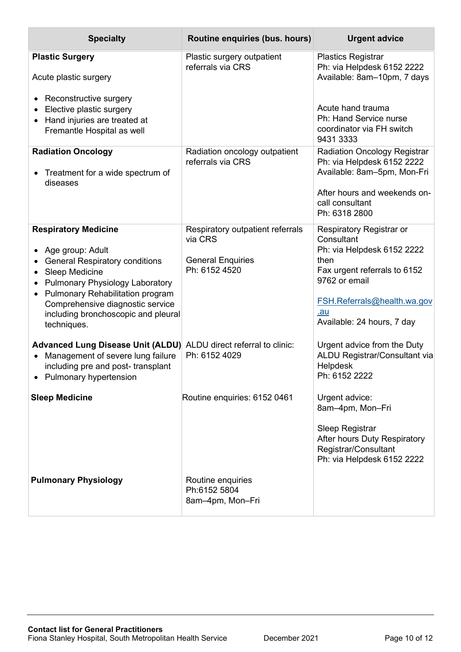| <b>Specialty</b>                                                                                                                                                                                                                                                                          | Routine enquiries (bus. hours)                                                           | <b>Urgent advice</b>                                                                                                                                                                              |
|-------------------------------------------------------------------------------------------------------------------------------------------------------------------------------------------------------------------------------------------------------------------------------------------|------------------------------------------------------------------------------------------|---------------------------------------------------------------------------------------------------------------------------------------------------------------------------------------------------|
| <b>Plastic Surgery</b><br>Acute plastic surgery                                                                                                                                                                                                                                           | Plastic surgery outpatient<br>referrals via CRS                                          | <b>Plastics Registrar</b><br>Ph: via Helpdesk 6152 2222<br>Available: 8am-10pm, 7 days                                                                                                            |
| Reconstructive surgery<br>Elective plastic surgery<br>Hand injuries are treated at<br>Fremantle Hospital as well                                                                                                                                                                          |                                                                                          | Acute hand trauma<br>Ph: Hand Service nurse<br>coordinator via FH switch<br>9431 3333                                                                                                             |
| <b>Radiation Oncology</b><br>Treatment for a wide spectrum of<br>diseases                                                                                                                                                                                                                 | Radiation oncology outpatient<br>referrals via CRS                                       | <b>Radiation Oncology Registrar</b><br>Ph: via Helpdesk 6152 2222<br>Available: 8am-5pm, Mon-Fri<br>After hours and weekends on-<br>call consultant<br>Ph: 6318 2800                              |
| <b>Respiratory Medicine</b><br>Age group: Adult<br><b>General Respiratory conditions</b><br><b>Sleep Medicine</b><br><b>Pulmonary Physiology Laboratory</b><br>Pulmonary Rehabilitation program<br>Comprehensive diagnostic service<br>including bronchoscopic and pleural<br>techniques. | Respiratory outpatient referrals<br>via CRS<br><b>General Enquiries</b><br>Ph: 6152 4520 | Respiratory Registrar or<br>Consultant<br>Ph: via Helpdesk 6152 2222<br>then<br>Fax urgent referrals to 6152<br>9762 or email<br>FSH.Referrals@health.wa.gov<br>.au<br>Available: 24 hours, 7 day |
| <b>Advanced Lung Disease Unit (ALDU)</b><br>Management of severe lung failure<br>$\bullet$<br>including pre and post-transplant<br>• Pulmonary hypertension                                                                                                                               | ALDU direct referral to clinic:<br>Ph: 6152 4029                                         | Urgent advice from the Duty<br>ALDU Registrar/Consultant via<br>Helpdesk<br>Ph: 6152 2222                                                                                                         |
| <b>Sleep Medicine</b>                                                                                                                                                                                                                                                                     | Routine enquiries: 6152 0461                                                             | Urgent advice:<br>8am-4pm, Mon-Fri<br>Sleep Registrar<br>After hours Duty Respiratory<br>Registrar/Consultant<br>Ph: via Helpdesk 6152 2222                                                       |
| <b>Pulmonary Physiology</b>                                                                                                                                                                                                                                                               | Routine enquiries<br>Ph:6152 5804<br>8am-4pm, Mon-Fri                                    |                                                                                                                                                                                                   |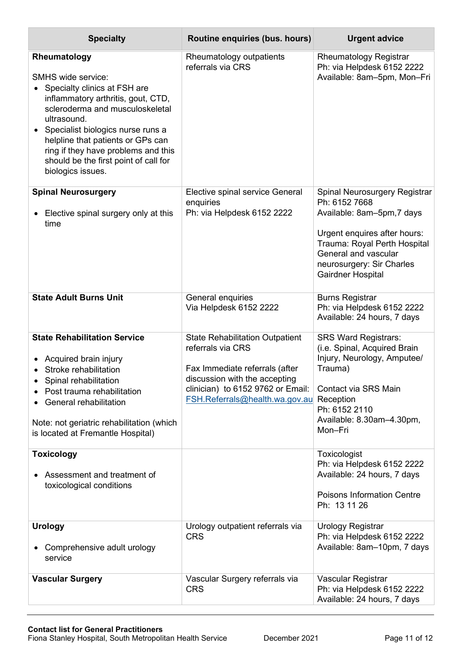| <b>Specialty</b>                                                                                                                                                                                                                                                                                                                                 | Routine enquiries (bus. hours)                                                                                                                                                                        | <b>Urgent advice</b>                                                                                                                                                                                |
|--------------------------------------------------------------------------------------------------------------------------------------------------------------------------------------------------------------------------------------------------------------------------------------------------------------------------------------------------|-------------------------------------------------------------------------------------------------------------------------------------------------------------------------------------------------------|-----------------------------------------------------------------------------------------------------------------------------------------------------------------------------------------------------|
| Rheumatology<br><b>SMHS wide service:</b><br>Specialty clinics at FSH are<br>inflammatory arthritis, gout, CTD,<br>scleroderma and musculoskeletal<br>ultrasound.<br>Specialist biologics nurse runs a<br>helpline that patients or GPs can<br>ring if they have problems and this<br>should be the first point of call for<br>biologics issues. | Rheumatology outpatients<br>referrals via CRS                                                                                                                                                         | <b>Rheumatology Registrar</b><br>Ph: via Helpdesk 6152 2222<br>Available: 8am-5pm, Mon-Fri                                                                                                          |
| <b>Spinal Neurosurgery</b><br>Elective spinal surgery only at this<br>time                                                                                                                                                                                                                                                                       | Elective spinal service General<br>enquiries<br>Ph: via Helpdesk 6152 2222                                                                                                                            | Spinal Neurosurgery Registrar<br>Ph: 6152 7668<br>Available: 8am-5pm, 7 days                                                                                                                        |
|                                                                                                                                                                                                                                                                                                                                                  |                                                                                                                                                                                                       | Urgent enquires after hours:<br>Trauma: Royal Perth Hospital<br>General and vascular<br>neurosurgery: Sir Charles<br>Gairdner Hospital                                                              |
| <b>State Adult Burns Unit</b>                                                                                                                                                                                                                                                                                                                    | General enquiries<br>Via Helpdesk 6152 2222                                                                                                                                                           | <b>Burns Registrar</b><br>Ph: via Helpdesk 6152 2222<br>Available: 24 hours, 7 days                                                                                                                 |
| <b>State Rehabilitation Service</b><br>Acquired brain injury<br>Stroke rehabilitation<br>Spinal rehabilitation<br>Post trauma rehabilitation<br>General rehabilitation<br>Note: not geriatric rehabilitation (which<br>is located at Fremantle Hospital)                                                                                         | <b>State Rehabilitation Outpatient</b><br>referrals via CRS<br>Fax Immediate referrals (after<br>discussion with the accepting<br>clinician) to 6152 9762 or Email:<br>FSH.Referrals@health.wa.gov.au | <b>SRS Ward Registrars:</b><br>(i.e. Spinal, Acquired Brain<br>Injury, Neurology, Amputee/<br>Trauma)<br>Contact via SRS Main<br>Reception<br>Ph: 6152 2110<br>Available: 8.30am-4.30pm,<br>Mon-Fri |
| <b>Toxicology</b><br>Assessment and treatment of<br>toxicological conditions                                                                                                                                                                                                                                                                     |                                                                                                                                                                                                       | Toxicologist<br>Ph: via Helpdesk 6152 2222<br>Available: 24 hours, 7 days<br><b>Poisons Information Centre</b><br>Ph: 13 11 26                                                                      |
| <b>Urology</b><br>Comprehensive adult urology<br>service                                                                                                                                                                                                                                                                                         | Urology outpatient referrals via<br><b>CRS</b>                                                                                                                                                        | <b>Urology Registrar</b><br>Ph: via Helpdesk 6152 2222<br>Available: 8am-10pm, 7 days                                                                                                               |
| <b>Vascular Surgery</b>                                                                                                                                                                                                                                                                                                                          | Vascular Surgery referrals via<br><b>CRS</b>                                                                                                                                                          | Vascular Registrar<br>Ph: via Helpdesk 6152 2222<br>Available: 24 hours, 7 days                                                                                                                     |